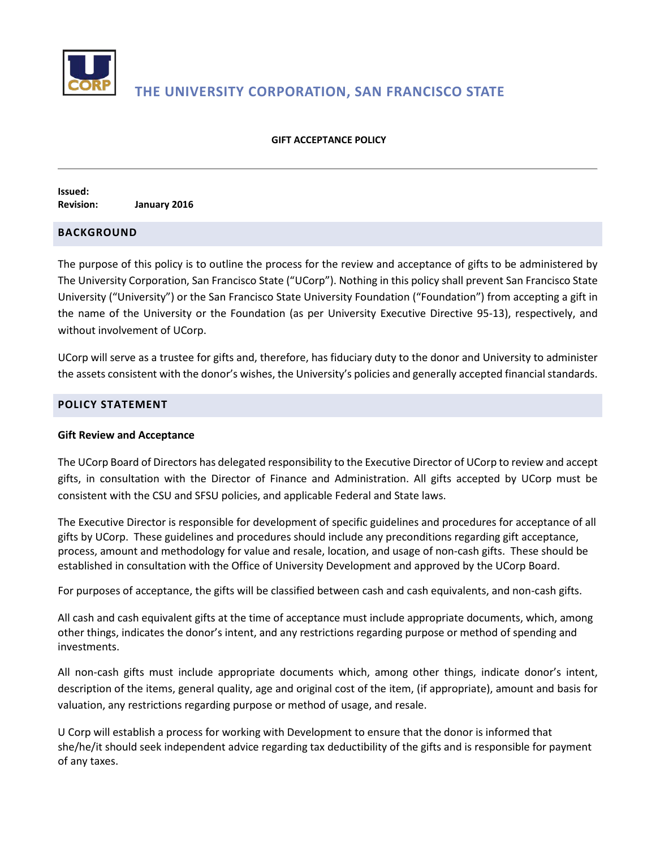

# **THE UNIVERSITY CORPORATION, SAN FRANCISCO STATE**

#### **GIFT ACCEPTANCE POLICY**

**Issued: Revision: January 2016**

# **BACKGROUND**

The purpose of this policy is to outline the process for the review and acceptance of gifts to be administered by The University Corporation, San Francisco State ("UCorp"). Nothing in this policy shall prevent San Francisco State University ("University") or the San Francisco State University Foundation ("Foundation") from accepting a gift in the name of the University or the Foundation (as per University Executive Directive 95-13), respectively, and without involvement of UCorp.

UCorp will serve as a trustee for gifts and, therefore, has fiduciary duty to the donor and University to administer the assets consistent with the donor's wishes, the University's policies and generally accepted financial standards.

### **POLICY STATEMENT**

#### **Gift Review and Acceptance**

The UCorp Board of Directors has delegated responsibility to the Executive Director of UCorp to review and accept gifts, in consultation with the Director of Finance and Administration. All gifts accepted by UCorp must be consistent with the CSU and SFSU policies, and applicable Federal and State laws.

The Executive Director is responsible for development of specific guidelines and procedures for acceptance of all gifts by UCorp. These guidelines and procedures should include any preconditions regarding gift acceptance, process, amount and methodology for value and resale, location, and usage of non-cash gifts. These should be established in consultation with the Office of University Development and approved by the UCorp Board.

For purposes of acceptance, the gifts will be classified between cash and cash equivalents, and non-cash gifts.

All cash and cash equivalent gifts at the time of acceptance must include appropriate documents, which, among other things, indicates the donor's intent, and any restrictions regarding purpose or method of spending and investments.

All non-cash gifts must include appropriate documents which, among other things, indicate donor's intent, description of the items, general quality, age and original cost of the item, (if appropriate), amount and basis for valuation, any restrictions regarding purpose or method of usage, and resale.

U Corp will establish a process for working with Development to ensure that the donor is informed that she/he/it should seek independent advice regarding tax deductibility of the gifts and is responsible for payment of any taxes.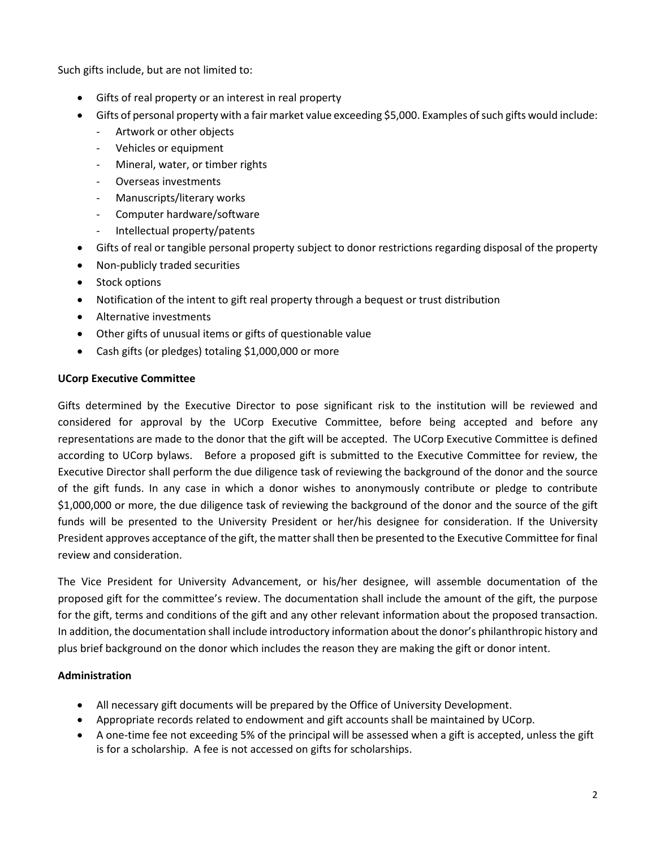Such gifts include, but are not limited to:

- Gifts of real property or an interest in real property
- Gifts of personal property with a fair market value exceeding \$5,000. Examples of such gifts would include:
	- Artwork or other objects
	- Vehicles or equipment
	- Mineral, water, or timber rights
	- Overseas investments
	- Manuscripts/literary works
	- Computer hardware/software
	- Intellectual property/patents
- Gifts of real or tangible personal property subject to donor restrictions regarding disposal of the property
- Non-publicly traded securities
- Stock options
- Notification of the intent to gift real property through a bequest or trust distribution
- Alternative investments
- Other gifts of unusual items or gifts of questionable value
- Cash gifts (or pledges) totaling \$1,000,000 or more

# **UCorp Executive Committee**

Gifts determined by the Executive Director to pose significant risk to the institution will be reviewed and considered for approval by the UCorp Executive Committee, before being accepted and before any representations are made to the donor that the gift will be accepted. The UCorp Executive Committee is defined according to UCorp bylaws. Before a proposed gift is submitted to the Executive Committee for review, the Executive Director shall perform the due diligence task of reviewing the background of the donor and the source of the gift funds. In any case in which a donor wishes to anonymously contribute or pledge to contribute \$1,000,000 or more, the due diligence task of reviewing the background of the donor and the source of the gift funds will be presented to the University President or her/his designee for consideration. If the University President approves acceptance of the gift, the matter shall then be presented to the Executive Committee for final review and consideration.

The Vice President for University Advancement, or his/her designee, will assemble documentation of the proposed gift for the committee's review. The documentation shall include the amount of the gift, the purpose for the gift, terms and conditions of the gift and any other relevant information about the proposed transaction. In addition, the documentation shall include introductory information about the donor's philanthropic history and plus brief background on the donor which includes the reason they are making the gift or donor intent.

# **Administration**

- All necessary gift documents will be prepared by the Office of University Development.
- Appropriate records related to endowment and gift accounts shall be maintained by UCorp.
- A one-time fee not exceeding 5% of the principal will be assessed when a gift is accepted, unless the gift is for a scholarship. A fee is not accessed on gifts for scholarships.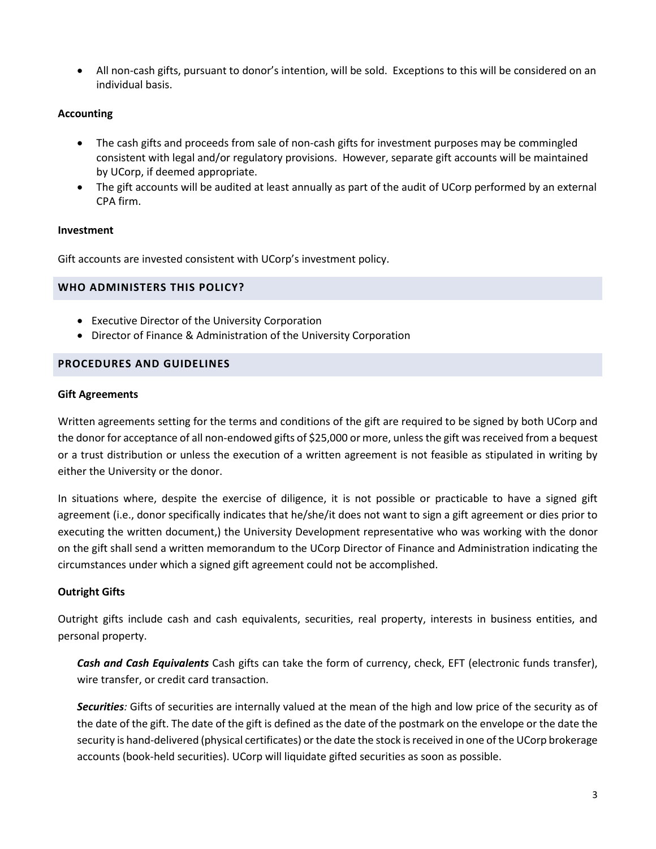• All non-cash gifts, pursuant to donor's intention, will be sold. Exceptions to this will be considered on an individual basis.

# **Accounting**

- The cash gifts and proceeds from sale of non-cash gifts for investment purposes may be commingled consistent with legal and/or regulatory provisions. However, separate gift accounts will be maintained by UCorp, if deemed appropriate.
- The gift accounts will be audited at least annually as part of the audit of UCorp performed by an external CPA firm.

### **Investment**

Gift accounts are invested consistent with UCorp's investment policy.

### **WHO ADMINISTERS THIS POLICY?**

- Executive Director of the University Corporation
- Director of Finance & Administration of the University Corporation

### **PROCEDURES AND GUIDELINES**

#### **Gift Agreements**

Written agreements setting for the terms and conditions of the gift are required to be signed by both UCorp and the donor for acceptance of all non-endowed gifts of \$25,000 or more, unless the gift was received from a bequest or a trust distribution or unless the execution of a written agreement is not feasible as stipulated in writing by either the University or the donor.

In situations where, despite the exercise of diligence, it is not possible or practicable to have a signed gift agreement (i.e., donor specifically indicates that he/she/it does not want to sign a gift agreement or dies prior to executing the written document,) the University Development representative who was working with the donor on the gift shall send a written memorandum to the UCorp Director of Finance and Administration indicating the circumstances under which a signed gift agreement could not be accomplished.

# **Outright Gifts**

Outright gifts include cash and cash equivalents, securities, real property, interests in business entities, and personal property.

*Cash and Cash Equivalents* Cash gifts can take the form of currency, check, EFT (electronic funds transfer), wire transfer, or credit card transaction.

*Securities:* Gifts of securities are internally valued at the mean of the high and low price of the security as of the date of the gift. The date of the gift is defined as the date of the postmark on the envelope or the date the security is hand-delivered (physical certificates) or the date the stock is received in one of the UCorp brokerage accounts (book-held securities). UCorp will liquidate gifted securities as soon as possible.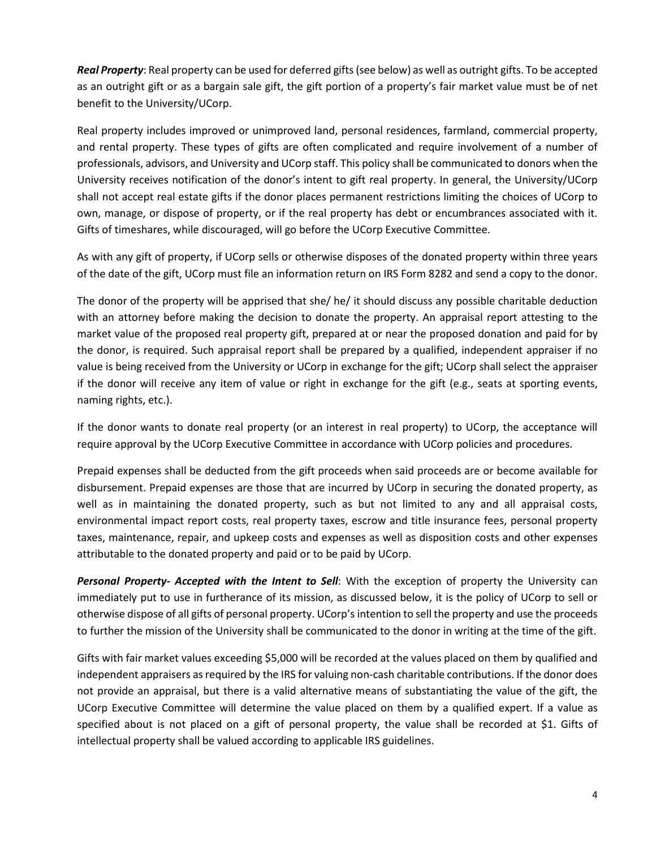*Real Property*: Real property can be used for deferred gifts (see below) as well as outright gifts. To be accepted as an outright gift or as a bargain sale gift, the gift portion of a property's fair market value must be of net benefit to the University/UCorp.

Real property includes improved or unimproved land, personal residences, farmland, commercial property, and rental property. These types of gifts are often complicated and require involvement of a number of professionals, advisors, and University and UCorp staff. This policy shall be communicated to donors when the University receives notification of the donor's intent to gift real property. In general, the University/UCorp shall not accept real estate gifts if the donor places permanent restrictions limiting the choices of UCorp to own, manage, or dispose of property, or if the real property has debt or encumbrances associated with it. Gifts of timeshares, while discouraged, will go before the UCorp Executive Committee.

As with any gift of property, if UCorp sells or otherwise disposes of the donated property within three years of the date of the gift, UCorp must file an information return on IRS Form 8282 and send a copy to the donor.

The donor of the property will be apprised that she/ he/ it should discuss any possible charitable deduction with an attorney before making the decision to donate the property. An appraisal report attesting to the market value of the proposed real property gift, prepared at or near the proposed donation and paid for by the donor, is required. Such appraisal report shall be prepared by a qualified, independent appraiser if no value is being received from the University or UCorp in exchange for the gift; UCorp shall select the appraiser if the donor will receive any item of value or right in exchange for the gift (e.g., seats at sporting events, naming rights, etc.).

If the donor wants to donate real property (or an interest in real property) to UCorp, the acceptance will require approval by the UCorp Executive Committee in accordance with UCorp policies and procedures.

Prepaid expenses shall be deducted from the gift proceeds when said proceeds are or become available for disbursement. Prepaid expenses are those that are incurred by UCorp in securing the donated property, as well as in maintaining the donated property, such as but not limited to any and all appraisal costs, environmental impact report costs, real property taxes, escrow and title insurance fees, personal property taxes, maintenance, repair, and upkeep costs and expenses as well as disposition costs and other expenses attributable to the donated property and paid or to be paid by UCorp.

*Personal Property- Accepted with the Intent to Sell*: With the exception of property the University can immediately put to use in furtherance of its mission, as discussed below, it is the policy of UCorp to sell or otherwise dispose of all gifts of personal property. UCorp's intention to sell the property and use the proceeds to further the mission of the University shall be communicated to the donor in writing at the time of the gift.

Gifts with fair market values exceeding \$5,000 will be recorded at the values placed on them by qualified and independent appraisers as required by the IRS for valuing non-cash charitable contributions. If the donor does not provide an appraisal, but there is a valid alternative means of substantiating the value of the gift, the UCorp Executive Committee will determine the value placed on them by a qualified expert. If a value as specified about is not placed on a gift of personal property, the value shall be recorded at \$1. Gifts of intellectual property shall be valued according to applicable IRS guidelines.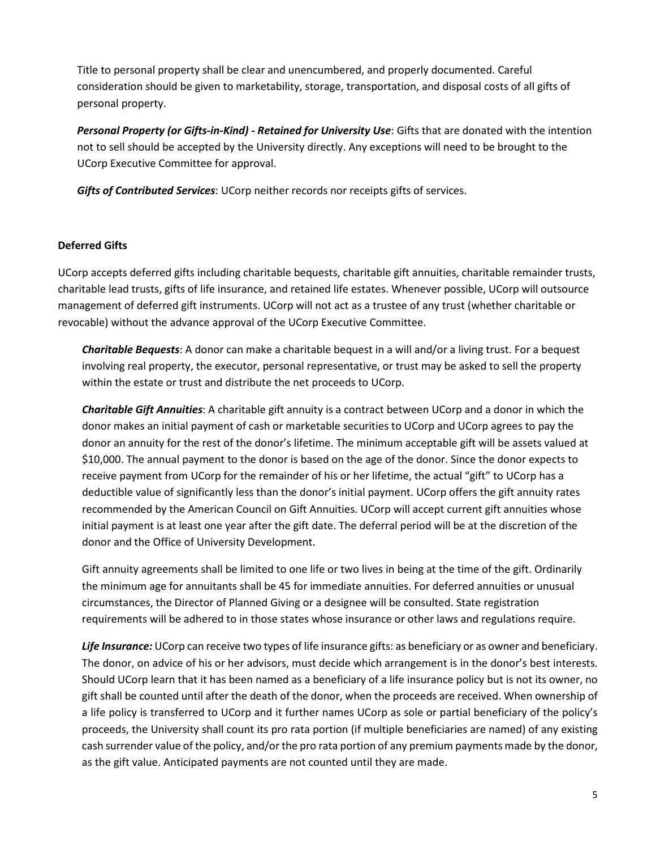Title to personal property shall be clear and unencumbered, and properly documented. Careful consideration should be given to marketability, storage, transportation, and disposal costs of all gifts of personal property.

*Personal Property (or Gifts-in-Kind) - Retained for University Use*: Gifts that are donated with the intention not to sell should be accepted by the University directly. Any exceptions will need to be brought to the UCorp Executive Committee for approval.

*Gifts of Contributed Services*: UCorp neither records nor receipts gifts of services.

# **Deferred Gifts**

UCorp accepts deferred gifts including charitable bequests, charitable gift annuities, charitable remainder trusts, charitable lead trusts, gifts of life insurance, and retained life estates. Whenever possible, UCorp will outsource management of deferred gift instruments. UCorp will not act as a trustee of any trust (whether charitable or revocable) without the advance approval of the UCorp Executive Committee.

*Charitable Bequests*: A donor can make a charitable bequest in a will and/or a living trust. For a bequest involving real property, the executor, personal representative, or trust may be asked to sell the property within the estate or trust and distribute the net proceeds to UCorp.

*Charitable Gift Annuities*: A charitable gift annuity is a contract between UCorp and a donor in which the donor makes an initial payment of cash or marketable securities to UCorp and UCorp agrees to pay the donor an annuity for the rest of the donor's lifetime. The minimum acceptable gift will be assets valued at \$10,000. The annual payment to the donor is based on the age of the donor. Since the donor expects to receive payment from UCorp for the remainder of his or her lifetime, the actual "gift" to UCorp has a deductible value of significantly less than the donor's initial payment. UCorp offers the gift annuity rates recommended by the American Council on Gift Annuities. UCorp will accept current gift annuities whose initial payment is at least one year after the gift date. The deferral period will be at the discretion of the donor and the Office of University Development.

Gift annuity agreements shall be limited to one life or two lives in being at the time of the gift. Ordinarily the minimum age for annuitants shall be 45 for immediate annuities. For deferred annuities or unusual circumstances, the Director of Planned Giving or a designee will be consulted. State registration requirements will be adhered to in those states whose insurance or other laws and regulations require.

*Life Insurance:* UCorp can receive two types of life insurance gifts: as beneficiary or as owner and beneficiary. The donor, on advice of his or her advisors, must decide which arrangement is in the donor's best interests. Should UCorp learn that it has been named as a beneficiary of a life insurance policy but is not its owner, no gift shall be counted until after the death of the donor, when the proceeds are received. When ownership of a life policy is transferred to UCorp and it further names UCorp as sole or partial beneficiary of the policy's proceeds, the University shall count its pro rata portion (if multiple beneficiaries are named) of any existing cash surrender value of the policy, and/or the pro rata portion of any premium payments made by the donor, as the gift value. Anticipated payments are not counted until they are made.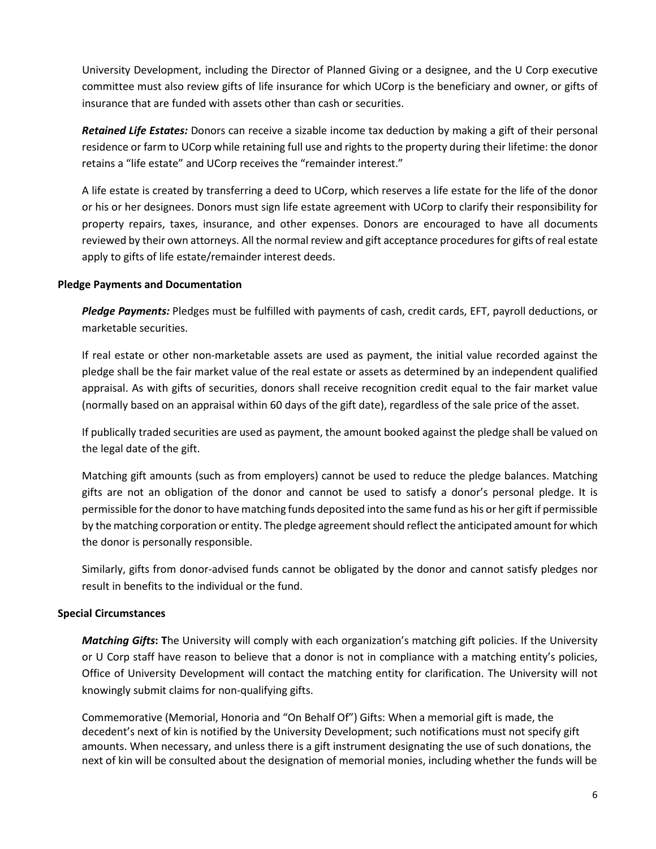University Development, including the Director of Planned Giving or a designee, and the U Corp executive committee must also review gifts of life insurance for which UCorp is the beneficiary and owner, or gifts of insurance that are funded with assets other than cash or securities.

*Retained Life Estates:* Donors can receive a sizable income tax deduction by making a gift of their personal residence or farm to UCorp while retaining full use and rights to the property during their lifetime: the donor retains a "life estate" and UCorp receives the "remainder interest."

A life estate is created by transferring a deed to UCorp, which reserves a life estate for the life of the donor or his or her designees. Donors must sign life estate agreement with UCorp to clarify their responsibility for property repairs, taxes, insurance, and other expenses. Donors are encouraged to have all documents reviewed by their own attorneys. All the normal review and gift acceptance procedures for gifts of real estate apply to gifts of life estate/remainder interest deeds.

# **Pledge Payments and Documentation**

*Pledge Payments:* Pledges must be fulfilled with payments of cash, credit cards, EFT, payroll deductions, or marketable securities.

If real estate or other non-marketable assets are used as payment, the initial value recorded against the pledge shall be the fair market value of the real estate or assets as determined by an independent qualified appraisal. As with gifts of securities, donors shall receive recognition credit equal to the fair market value (normally based on an appraisal within 60 days of the gift date), regardless of the sale price of the asset.

If publically traded securities are used as payment, the amount booked against the pledge shall be valued on the legal date of the gift.

Matching gift amounts (such as from employers) cannot be used to reduce the pledge balances. Matching gifts are not an obligation of the donor and cannot be used to satisfy a donor's personal pledge. It is permissible for the donor to have matching funds deposited into the same fund as his or her gift if permissible by the matching corporation or entity. The pledge agreement should reflect the anticipated amount for which the donor is personally responsible.

Similarly, gifts from donor-advised funds cannot be obligated by the donor and cannot satisfy pledges nor result in benefits to the individual or the fund.

# **Special Circumstances**

*Matching Gifts***: T**he University will comply with each organization's matching gift policies. If the University or U Corp staff have reason to believe that a donor is not in compliance with a matching entity's policies, Office of University Development will contact the matching entity for clarification. The University will not knowingly submit claims for non-qualifying gifts.

Commemorative (Memorial, Honoria and "On Behalf Of") Gifts: When a memorial gift is made, the decedent's next of kin is notified by the University Development; such notifications must not specify gift amounts. When necessary, and unless there is a gift instrument designating the use of such donations, the next of kin will be consulted about the designation of memorial monies, including whether the funds will be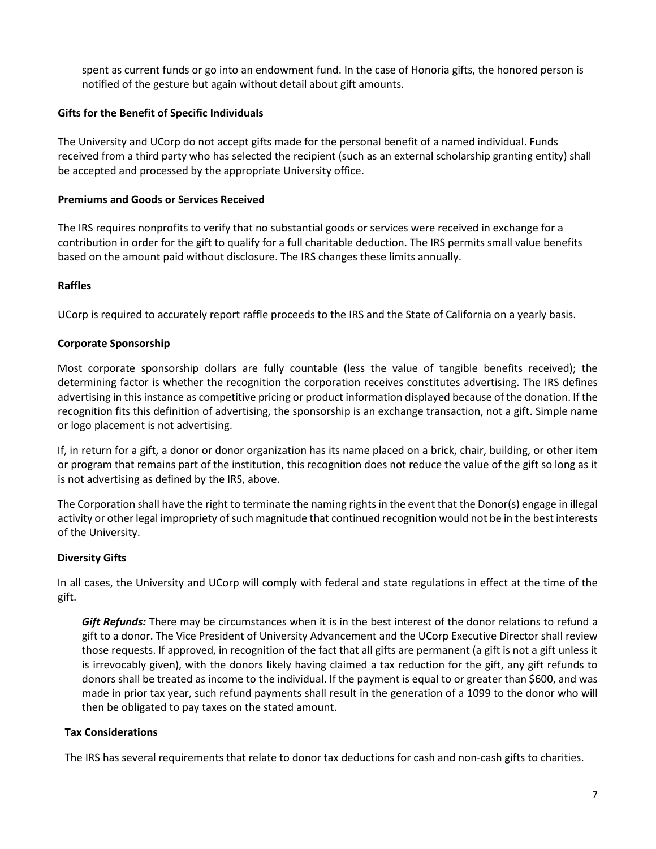spent as current funds or go into an endowment fund. In the case of Honoria gifts, the honored person is notified of the gesture but again without detail about gift amounts.

# **Gifts for the Benefit of Specific Individuals**

The University and UCorp do not accept gifts made for the personal benefit of a named individual. Funds received from a third party who has selected the recipient (such as an external scholarship granting entity) shall be accepted and processed by the appropriate University office.

### **Premiums and Goods or Services Received**

The IRS requires nonprofits to verify that no substantial goods or services were received in exchange for a contribution in order for the gift to qualify for a full charitable deduction. The IRS permits small value benefits based on the amount paid without disclosure. The IRS changes these limits annually.

# **Raffles**

UCorp is required to accurately report raffle proceeds to the IRS and the State of California on a yearly basis.

### **Corporate Sponsorship**

Most corporate sponsorship dollars are fully countable (less the value of tangible benefits received); the determining factor is whether the recognition the corporation receives constitutes advertising. The IRS defines advertising in this instance as competitive pricing or product information displayed because of the donation. If the recognition fits this definition of advertising, the sponsorship is an exchange transaction, not a gift. Simple name or logo placement is not advertising.

If, in return for a gift, a donor or donor organization has its name placed on a brick, chair, building, or other item or program that remains part of the institution, this recognition does not reduce the value of the gift so long as it is not advertising as defined by the IRS, above.

The Corporation shall have the right to terminate the naming rights in the event that the Donor(s) engage in illegal activity or other legal impropriety of such magnitude that continued recognition would not be in the best interests of the University.

# **Diversity Gifts**

In all cases, the University and UCorp will comply with federal and state regulations in effect at the time of the gift.

*Gift Refunds:* There may be circumstances when it is in the best interest of the donor relations to refund a gift to a donor. The Vice President of University Advancement and the UCorp Executive Director shall review those requests. If approved, in recognition of the fact that all gifts are permanent (a gift is not a gift unless it is irrevocably given), with the donors likely having claimed a tax reduction for the gift, any gift refunds to donors shall be treated as income to the individual. If the payment is equal to or greater than \$600, and was made in prior tax year, such refund payments shall result in the generation of a 1099 to the donor who will then be obligated to pay taxes on the stated amount.

# **Tax Considerations**

The IRS has several requirements that relate to donor tax deductions for cash and non-cash gifts to charities.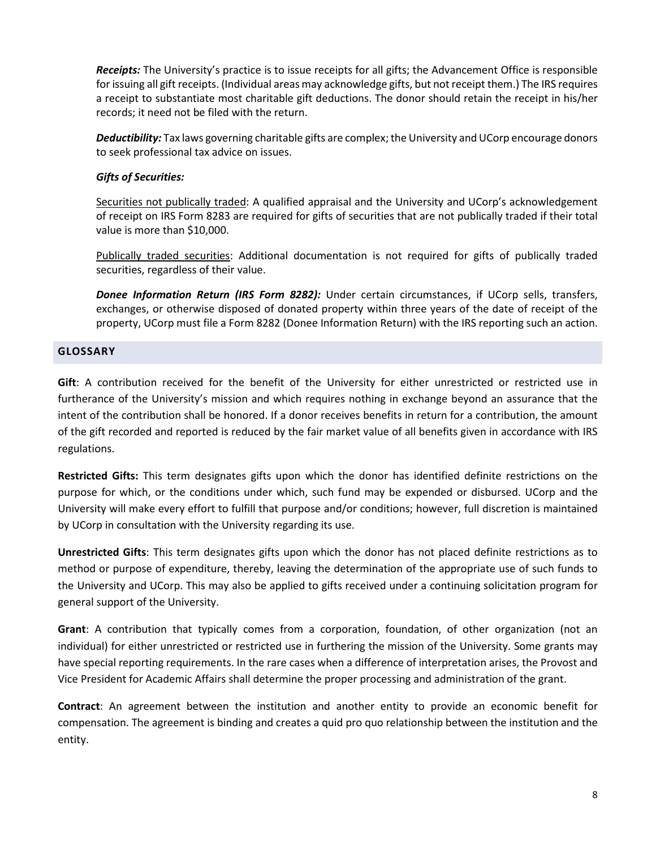*Receipts:* The University's practice is to issue receipts for all gifts; the Advancement Office is responsible for issuing all gift receipts. (Individual areas may acknowledge gifts, but not receipt them.) The IRS requires a receipt to substantiate most charitable gift deductions. The donor should retain the receipt in his/her records; it need not be filed with the return.

*Deductibility:* Tax laws governing charitable gifts are complex; the University and UCorp encourage donors to seek professional tax advice on issues.

# *Gifts of Securities:*

Securities not publically traded: A qualified appraisal and the University and UCorp's acknowledgement of receipt on IRS Form 8283 are required for gifts of securities that are not publically traded if their total value is more than \$10,000.

Publically traded securities: Additional documentation is not required for gifts of publically traded securities, regardless of their value.

*Donee Information Return (IRS Form 8282):* Under certain circumstances, if UCorp sells, transfers, exchanges, or otherwise disposed of donated property within three years of the date of receipt of the property, UCorp must file a Form 8282 (Donee Information Return) with the IRS reporting such an action.

# **GLOSSARY**

**Gift**: A contribution received for the benefit of the University for either unrestricted or restricted use in furtherance of the University's mission and which requires nothing in exchange beyond an assurance that the intent of the contribution shall be honored. If a donor receives benefits in return for a contribution, the amount of the gift recorded and reported is reduced by the fair market value of all benefits given in accordance with IRS regulations.

**Restricted Gifts:** This term designates gifts upon which the donor has identified definite restrictions on the purpose for which, or the conditions under which, such fund may be expended or disbursed. UCorp and the University will make every effort to fulfill that purpose and/or conditions; however, full discretion is maintained by UCorp in consultation with the University regarding its use.

**Unrestricted Gifts**: This term designates gifts upon which the donor has not placed definite restrictions as to method or purpose of expenditure, thereby, leaving the determination of the appropriate use of such funds to the University and UCorp. This may also be applied to gifts received under a continuing solicitation program for general support of the University.

**Grant**: A contribution that typically comes from a corporation, foundation, of other organization (not an individual) for either unrestricted or restricted use in furthering the mission of the University. Some grants may have special reporting requirements. In the rare cases when a difference of interpretation arises, the Provost and Vice President for Academic Affairs shall determine the proper processing and administration of the grant.

**Contract**: An agreement between the institution and another entity to provide an economic benefit for compensation. The agreement is binding and creates a quid pro quo relationship between the institution and the entity.